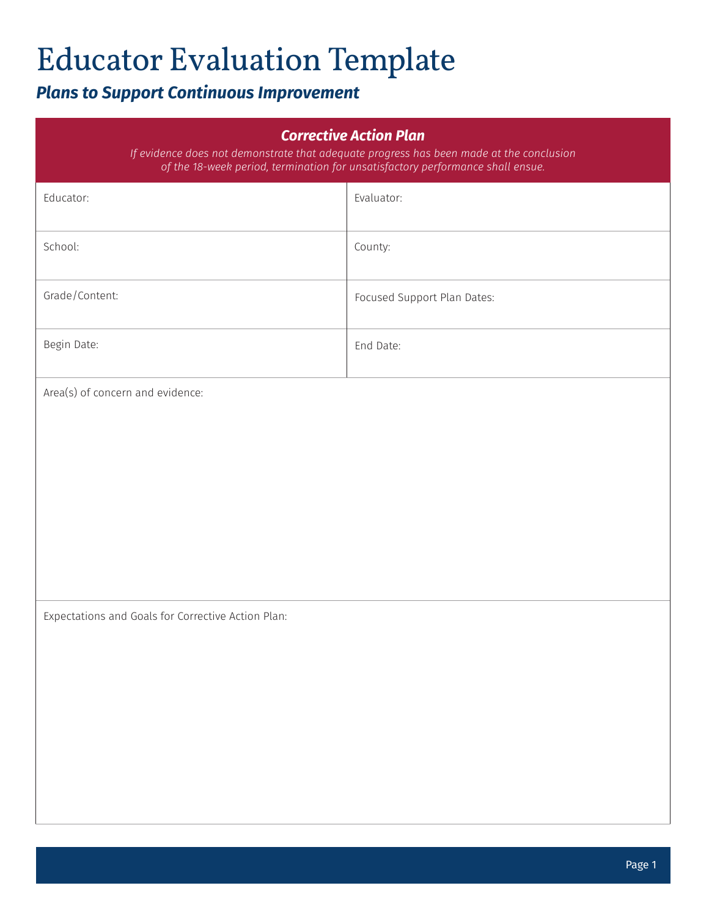# Educator Evaluation Template

## *Plans to Support Continuous Improvement*

| <b>Corrective Action Plan</b><br>If evidence does not demonstrate that adequate progress has been made at the conclusion<br>of the 18-week period, termination for unsatisfactory performance shall ensue. |                             |  |
|------------------------------------------------------------------------------------------------------------------------------------------------------------------------------------------------------------|-----------------------------|--|
| Educator:                                                                                                                                                                                                  | Evaluator:                  |  |
| School:                                                                                                                                                                                                    | County:                     |  |
| Grade/Content:                                                                                                                                                                                             | Focused Support Plan Dates: |  |
| Begin Date:                                                                                                                                                                                                | End Date:                   |  |
| Area(s) of concern and evidence:                                                                                                                                                                           |                             |  |
| Expectations and Goals for Corrective Action Plan:                                                                                                                                                         |                             |  |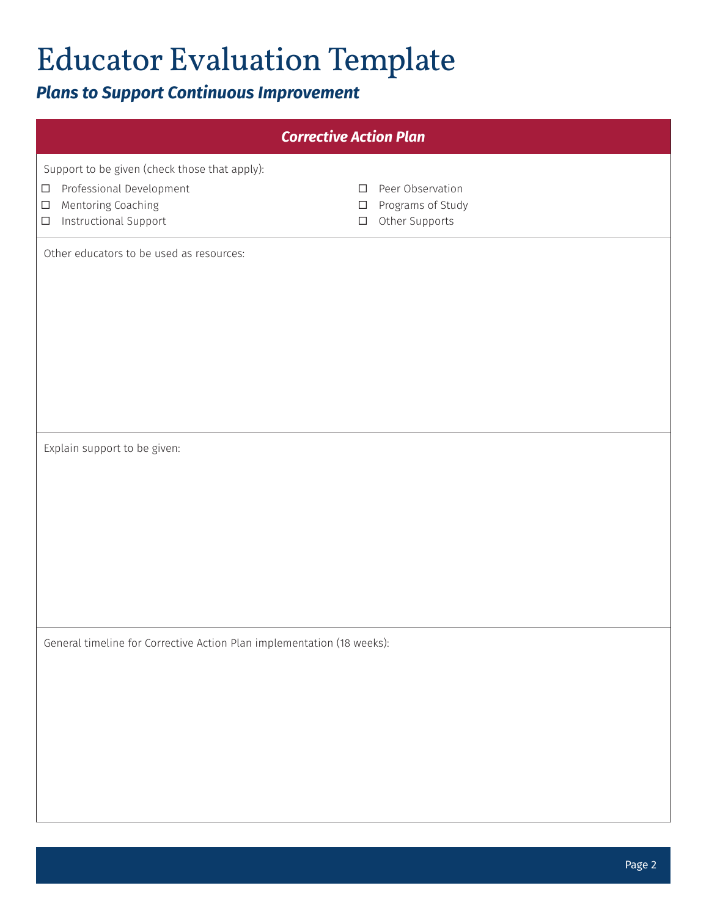# Educator Evaluation Template

## *Plans to Support Continuous Improvement*

| <b>Corrective Action Plan</b>                                                       |                                     |  |  |
|-------------------------------------------------------------------------------------|-------------------------------------|--|--|
| Support to be given (check those that apply):                                       |                                     |  |  |
| Professional Development<br>$\Box$<br>$\Box$                                        | Peer Observation                    |  |  |
| Mentoring Coaching<br>$\Box$<br>$\Box$<br>Instructional Support<br>$\Box$<br>$\Box$ | Programs of Study<br>Other Supports |  |  |
| Other educators to be used as resources:                                            |                                     |  |  |
|                                                                                     |                                     |  |  |
|                                                                                     |                                     |  |  |
|                                                                                     |                                     |  |  |
|                                                                                     |                                     |  |  |
|                                                                                     |                                     |  |  |
|                                                                                     |                                     |  |  |
|                                                                                     |                                     |  |  |
| Explain support to be given:                                                        |                                     |  |  |
|                                                                                     |                                     |  |  |
|                                                                                     |                                     |  |  |
|                                                                                     |                                     |  |  |
|                                                                                     |                                     |  |  |
|                                                                                     |                                     |  |  |
|                                                                                     |                                     |  |  |
| General timeline for Corrective Action Plan implementation (18 weeks):              |                                     |  |  |
|                                                                                     |                                     |  |  |
|                                                                                     |                                     |  |  |
|                                                                                     |                                     |  |  |
|                                                                                     |                                     |  |  |
|                                                                                     |                                     |  |  |
|                                                                                     |                                     |  |  |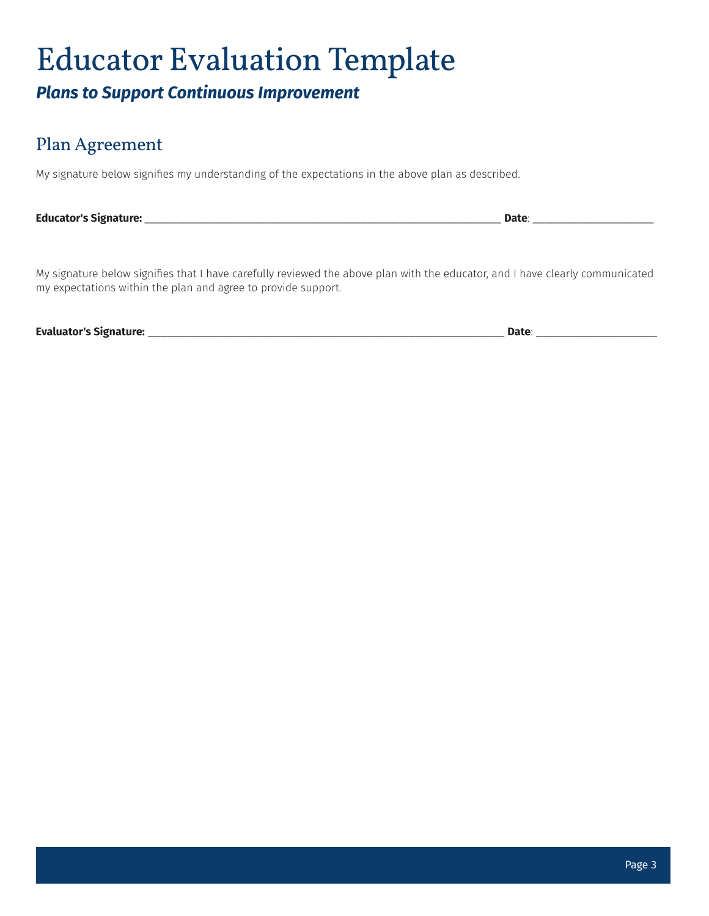## Educator Evaluation Template *Plans to Support Continuous Improvement*

#### Plan Agreement

My signature below signifies my understanding of the expectations in the above plan as described.

**Educator's Signature:** \_\_\_\_\_\_\_\_\_\_\_\_\_\_\_\_\_\_\_\_\_\_\_\_\_\_\_\_\_\_\_\_\_\_\_\_\_\_\_\_\_\_\_\_\_\_\_\_\_\_\_\_\_\_\_\_ **Date**: \_\_\_\_\_\_\_\_\_\_\_\_\_\_\_\_\_\_\_

My signature below signifies that I have carefully reviewed the above plan with the educator, and I have clearly communicated my expectations within the plan and agree to provide support.

**Evaluator's Signature:** \_\_\_\_\_\_\_\_\_\_\_\_\_\_\_\_\_\_\_\_\_\_\_\_\_\_\_\_\_\_\_\_\_\_\_\_\_\_\_\_\_\_\_\_\_\_\_\_\_\_\_\_\_\_\_\_ **Date**: \_\_\_\_\_\_\_\_\_\_\_\_\_\_\_\_\_\_\_